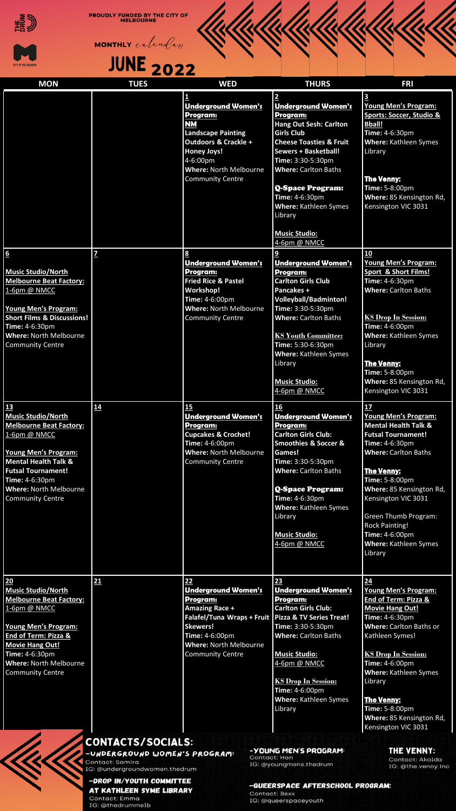

**PROUDLY FUNDED BY THE CITY OF MELBOURNE** 





| <b>MON</b>                                                                                                                                                                                                                                                     | <b>TUES</b>                                                                                            | <b>WED</b>                                                                                                                                                                                           | <b>THURS</b>                                                                                                                                                                                                                                                                                                                                                              | <b>FRI</b>                                                                                                                                                                                                                                                                                                                                   |
|----------------------------------------------------------------------------------------------------------------------------------------------------------------------------------------------------------------------------------------------------------------|--------------------------------------------------------------------------------------------------------|------------------------------------------------------------------------------------------------------------------------------------------------------------------------------------------------------|---------------------------------------------------------------------------------------------------------------------------------------------------------------------------------------------------------------------------------------------------------------------------------------------------------------------------------------------------------------------------|----------------------------------------------------------------------------------------------------------------------------------------------------------------------------------------------------------------------------------------------------------------------------------------------------------------------------------------------|
|                                                                                                                                                                                                                                                                |                                                                                                        | 1<br><b>Underground Women's</b><br>Program:<br>NΜ<br><b>Landscape Painting</b><br>Outdoors & Crackle +<br><b>Honey Joys!</b><br>4-6:00pm<br><b>Where: North Melbourne</b><br><b>Community Centre</b> | $\overline{\mathbf{c}}$<br><b>Underground Women's</b><br>Program:<br><b>Hang Out Sesh: Carlton</b><br><b>Girls Club</b><br><b>Cheese Toasties &amp; Fruit</b><br><b>Sewers + Basketball!</b><br>Time: 3:30-5:30pm<br><b>Where: Carlton Baths</b><br><b>Q-Space Program:</b><br>Time: 4-6:30pm<br>Where: Kathleen Symes<br>Library<br><b>Music Studio:</b><br>4-6pm @ NMCC | $\mathbf{3}$<br>Young Men's Program:<br><b>Sports: Soccer, Studio &amp;</b><br><b>Bball!</b><br>Time: 4-6:30pm<br>Where: Kathleen Symes<br>Library<br><b>The Venny:</b><br>Time: 5-8:00pm<br>Where: 85 Kensington Rd,<br>Kensington VIC 3031                                                                                                 |
| $6 \n$<br><b>Music Studio/North</b><br><b>Melbourne Beat Factory:</b><br>1-6pm @ NMCC<br><b>Young Men's Program:</b><br><b>Short Films &amp; Discussions!</b><br>Time: 4-6:30pm<br>Where: North Melbourne<br><b>Community Centre</b>                           | $\overline{z}$                                                                                         | 8<br><b>Underground Women's</b><br>Program:<br><b>Fried Rice &amp; Pastel</b><br>Workshop!<br>Time: 4-6:00pm<br><b>Where: North Melbourne</b><br><b>Community Centre</b>                             | 9<br><b>Underground Women's</b><br>Program:<br><b>Carlton Girls Club</b><br>Pancakes +<br><b>Volleyball/Badminton!</b><br>Time: 3:30-5:30pm<br><b>Where: Carlton Baths</b><br><b>KS Youth Committee:</b><br>Time: 5:30-6:30pm<br>Where: Kathleen Symes<br>Library<br><b>Music Studio:</b><br>4-6pm @ NMCC                                                                 | 10<br><b>Young Men's Program:</b><br><b>Sport &amp; Short Films!</b><br>Time: 4-6:30pm<br><b>Where: Carlton Baths</b><br><b>KS Drop In Session:</b><br>Time: 4-6:00pm<br>Where: Kathleen Symes<br>Library<br><b>The Venny:</b><br>Time: 5-8:00pm<br>Where: 85 Kensington Rd,<br>Kensington VIC 3031                                          |
| 13<br><b>Music Studio/North</b><br><b>Melbourne Beat Factory:</b><br>1-6pm @ NMCC<br><b>Young Men's Program:</b><br><b>Mental Health Talk &amp;</b><br><b>Futsal Tournament!</b><br>Time: 4-6:30pm<br><b>Where: North Melbourne</b><br><b>Community Centre</b> | 14                                                                                                     | 15<br><b>Underground Women's</b><br>Program:<br><b>Cupcakes &amp; Crochet!</b><br>Time: 4-6:00pm<br><b>Where: North Melbourne</b><br><b>Community Centre</b>                                         | 16<br><b>Underground Women's</b><br>Program:<br><b>Carlton Girls Club:</b><br><b>Smoothies &amp; Soccer &amp;</b><br>Games!<br>Time: 3:30-5:30pm<br><b>Where: Carlton Baths</b><br><b>Q-Space Program:</b><br>Time: 4-6:30pm<br>Where: Kathleen Symes<br>Library<br><b>Music Studio:</b><br>4-6pm @ NMCC                                                                  | 17<br>Young Men's Program:<br><b>Mental Health Talk &amp;</b><br><b>Futsal Tournament!</b><br>Time: 4-6:30pm<br><b>Where: Carlton Baths</b><br><b>The Venny:</b><br>Time: 5-8:00pm<br>Where: 85 Kensington Rd,<br>Kensington VIC 3031<br>Green Thumb Program:<br><b>Rock Painting!</b><br>Time: 4-6:00pm<br>Where: Kathleen Symes<br>Library |
| 20<br><b>Music Studio/North</b><br><b>Melbourne Beat Factory:</b><br>1-6pm @ NMCC<br><b>Young Men's Program:</b><br>End of Term: Pizza &<br><b>Movie Hang Out!</b><br>Time: 4-6:30pm<br>Where: North Melbourne<br><b>Community Centre</b>                      | 21                                                                                                     | 22<br><b>Underground Women's</b><br>Program:<br>Amazing Race +<br>Falafel/Tuna Wraps + Fruit<br>Skewers!<br>Time: 4-6:00pm<br>Where: North Melbourne<br><b>Community Centre</b>                      | 23<br><b>Underground Women's</b><br>Program:<br><b>Carlton Girls Club:</b><br><b>Pizza &amp; TV Series Treat!</b><br>Time: 3:30-5:30pm<br><b>Where: Carlton Baths</b><br><b>Music Studio:</b><br>4-6pm @ NMCC<br><b>KS Drop In Session:</b><br>Time: 4-6:00pm<br>Where: Kathleen Symes<br>Library                                                                         | 24<br>Young Men's Program:<br><b>End of Term: Pizza &amp;</b><br><b>Movie Hang Out!</b><br>Time: 4-6:30pm<br>Where: Carlton Baths or<br>Kathleen Symes!<br><b>KS Drop In Session:</b><br>Time: 4-6:00pm<br><b>Where: Kathleen Symes</b><br>Library<br><b>The Venny:</b><br>Time: 5-8:00pm<br>Where: 85 Kensington Rd,<br>Kensington VIC 3031 |
|                                                                                                                                                                                                                                                                | CONTACTS/SOCIALS:<br>-UNDERGROUND WOMEN'S PROGRAM:<br>Contact: Samira<br>IG: @undergroundwomen.thedrum | Contact: Han                                                                                                                                                                                         | -YOUNG MEN'S PROGRAM:<br>IG: @youngmens.thedrum                                                                                                                                                                                                                                                                                                                           | THE VENNY:<br>Contact: Akolda<br>IG: @the.venny.inc                                                                                                                                                                                                                                                                                          |

## -DROP IN/YOUTH COMMITTEE AT KATHLEEN SYME LIBRARY

Contact: Emma<br>IG: @thedrummelb

-QUEERSPACE AFTERSCHOOL PROGRAM: Contact: Bexx<br>IG: @queerspaceyouth